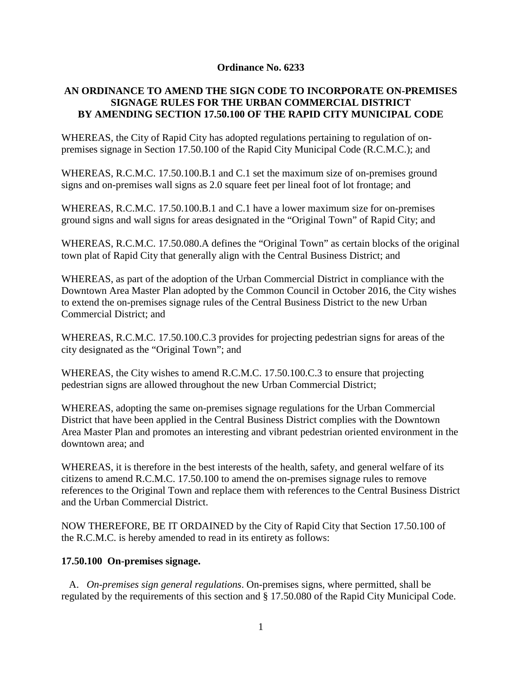## **Ordinance No. 6233**

## **AN ORDINANCE TO AMEND THE SIGN CODE TO INCORPORATE ON-PREMISES SIGNAGE RULES FOR THE URBAN COMMERCIAL DISTRICT BY AMENDING SECTION 17.50.100 OF THE RAPID CITY MUNICIPAL CODE**

WHEREAS, the City of Rapid City has adopted regulations pertaining to regulation of onpremises signage in Section 17.50.100 of the Rapid City Municipal Code (R.C.M.C.); and

WHEREAS, R.C.M.C. 17.50.100.B.1 and C.1 set the maximum size of on-premises ground signs and on-premises wall signs as 2.0 square feet per lineal foot of lot frontage; and

WHEREAS, R.C.M.C. 17.50.100.B.1 and C.1 have a lower maximum size for on-premises ground signs and wall signs for areas designated in the "Original Town" of Rapid City; and

WHEREAS, R.C.M.C. 17.50.080.A defines the "Original Town" as certain blocks of the original town plat of Rapid City that generally align with the Central Business District; and

WHEREAS, as part of the adoption of the Urban Commercial District in compliance with the Downtown Area Master Plan adopted by the Common Council in October 2016, the City wishes to extend the on-premises signage rules of the Central Business District to the new Urban Commercial District; and

WHEREAS, R.C.M.C. 17.50.100.C.3 provides for projecting pedestrian signs for areas of the city designated as the "Original Town"; and

WHEREAS, the City wishes to amend R.C.M.C. 17.50.100.C.3 to ensure that projecting pedestrian signs are allowed throughout the new Urban Commercial District;

WHEREAS, adopting the same on-premises signage regulations for the Urban Commercial District that have been applied in the Central Business District complies with the Downtown Area Master Plan and promotes an interesting and vibrant pedestrian oriented environment in the downtown area; and

WHEREAS, it is therefore in the best interests of the health, safety, and general welfare of its citizens to amend R.C.M.C. 17.50.100 to amend the on-premises signage rules to remove references to the Original Town and replace them with references to the Central Business District and the Urban Commercial District.

NOW THEREFORE, BE IT ORDAINED by the City of Rapid City that Section 17.50.100 of the R.C.M.C. is hereby amended to read in its entirety as follows:

## **17.50.100 On-premises signage.**

 A. *On-premises sign general regulations*. On-premises signs, where permitted, shall be regulated by the requirements of this section and § 17.50.080 of the Rapid City Municipal Code.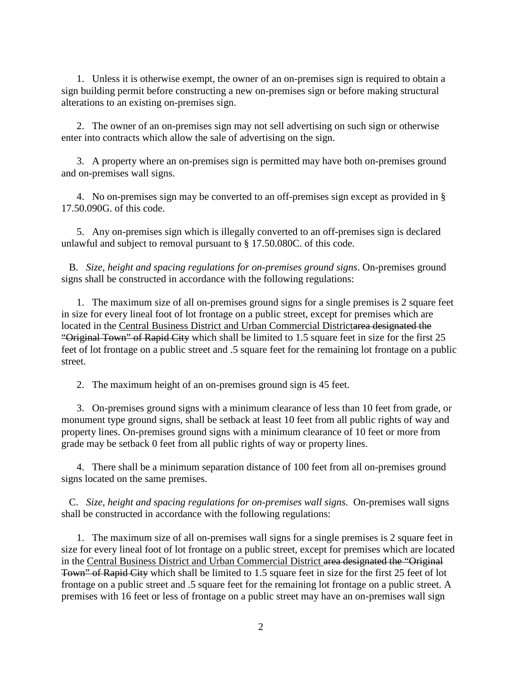1. Unless it is otherwise exempt, the owner of an on-premises sign is required to obtain a sign building permit before constructing a new on-premises sign or before making structural alterations to an existing on-premises sign.

 2. The owner of an on-premises sign may not sell advertising on such sign or otherwise enter into contracts which allow the sale of advertising on the sign.

 3. A property where an on-premises sign is permitted may have both on-premises ground and on-premises wall signs.

 4. No on-premises sign may be converted to an off-premises sign except as provided in § 17.50.090G. of this code.

 5. Any on-premises sign which is illegally converted to an off-premises sign is declared unlawful and subject to removal pursuant to § 17.50.080C. of this code.

 B. *Size, height and spacing regulations for on-premises ground signs*. On-premises ground signs shall be constructed in accordance with the following regulations:

 1. The maximum size of all on-premises ground signs for a single premises is 2 square feet in size for every lineal foot of lot frontage on a public street, except for premises which are located in the Central Business District and Urban Commercial Districtarea designated the "Original Town" of Rapid City which shall be limited to 1.5 square feet in size for the first 25 feet of lot frontage on a public street and .5 square feet for the remaining lot frontage on a public street.

2. The maximum height of an on-premises ground sign is 45 feet.

 3. On-premises ground signs with a minimum clearance of less than 10 feet from grade, or monument type ground signs, shall be setback at least 10 feet from all public rights of way and property lines. On-premises ground signs with a minimum clearance of 10 feet or more from grade may be setback 0 feet from all public rights of way or property lines.

 4. There shall be a minimum separation distance of 100 feet from all on-premises ground signs located on the same premises.

 C. *Size, height and spacing regulations for on-premises wall signs*. On-premises wall signs shall be constructed in accordance with the following regulations:

 1. The maximum size of all on-premises wall signs for a single premises is 2 square feet in size for every lineal foot of lot frontage on a public street, except for premises which are located in the Central Business District and Urban Commercial District area designated the "Original Town" of Rapid City which shall be limited to 1.5 square feet in size for the first 25 feet of lot frontage on a public street and .5 square feet for the remaining lot frontage on a public street. A premises with 16 feet or less of frontage on a public street may have an on-premises wall sign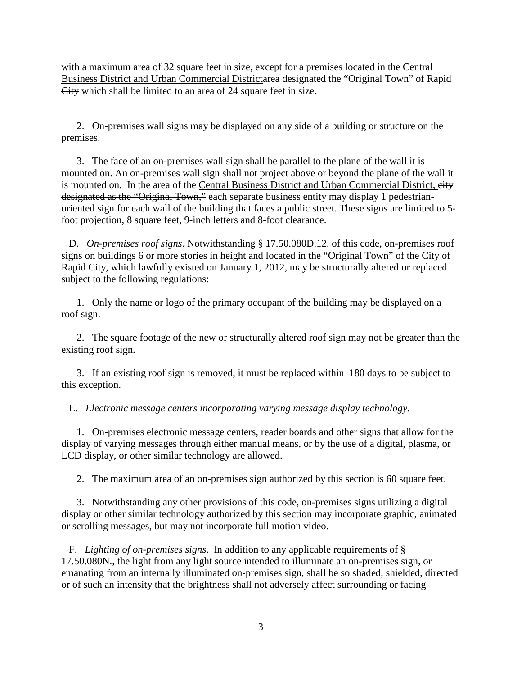with a maximum area of 32 square feet in size, except for a premises located in the Central Business District and Urban Commercial Districtarea designated the "Original Town" of Rapid City which shall be limited to an area of 24 square feet in size.

 2. On-premises wall signs may be displayed on any side of a building or structure on the premises.

 3. The face of an on-premises wall sign shall be parallel to the plane of the wall it is mounted on. An on-premises wall sign shall not project above or beyond the plane of the wall it is mounted on. In the area of the Central Business District and Urban Commercial District, eity designated as the "Original Town," each separate business entity may display 1 pedestrianoriented sign for each wall of the building that faces a public street. These signs are limited to 5 foot projection, 8 square feet, 9-inch letters and 8-foot clearance.

 D. *On-premises roof signs*. Notwithstanding § 17.50.080D.12. of this code, on-premises roof signs on buildings 6 or more stories in height and located in the "Original Town" of the City of Rapid City, which lawfully existed on January 1, 2012, may be structurally altered or replaced subject to the following regulations:

 1. Only the name or logo of the primary occupant of the building may be displayed on a roof sign.

 2. The square footage of the new or structurally altered roof sign may not be greater than the existing roof sign.

 3. If an existing roof sign is removed, it must be replaced within 180 days to be subject to this exception.

E. *Electronic message centers incorporating varying message display technology*.

 1. On-premises electronic message centers, reader boards and other signs that allow for the display of varying messages through either manual means, or by the use of a digital, plasma, or LCD display, or other similar technology are allowed.

2. The maximum area of an on-premises sign authorized by this section is 60 square feet.

 3. Notwithstanding any other provisions of this code, on-premises signs utilizing a digital display or other similar technology authorized by this section may incorporate graphic, animated or scrolling messages, but may not incorporate full motion video.

 F. *Lighting of on-premises signs*. In addition to any applicable requirements of § 17.50.080N., the light from any light source intended to illuminate an on-premises sign, or emanating from an internally illuminated on-premises sign, shall be so shaded, shielded, directed or of such an intensity that the brightness shall not adversely affect surrounding or facing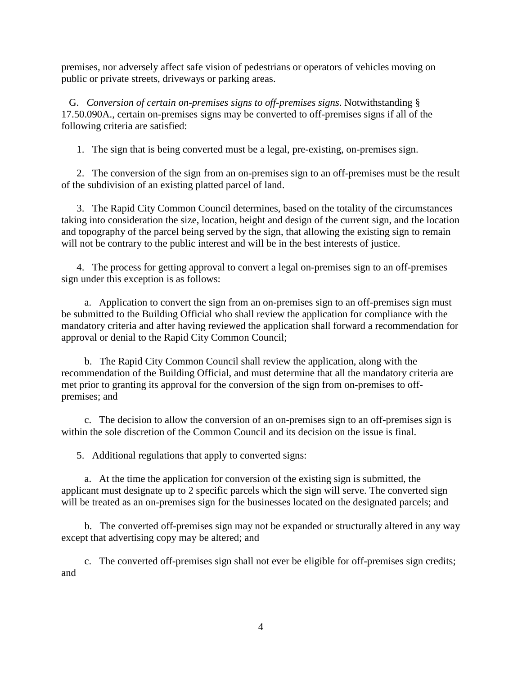premises, nor adversely affect safe vision of pedestrians or operators of vehicles moving on public or private streets, driveways or parking areas.

 G. *Conversion of certain on-premises signs to off-premises signs*. Notwithstanding § 17.50.090A., certain on-premises signs may be converted to off-premises signs if all of the following criteria are satisfied:

1. The sign that is being converted must be a legal, pre-existing, on-premises sign.

 2. The conversion of the sign from an on-premises sign to an off-premises must be the result of the subdivision of an existing platted parcel of land.

 3. The Rapid City Common Council determines, based on the totality of the circumstances taking into consideration the size, location, height and design of the current sign, and the location and topography of the parcel being served by the sign, that allowing the existing sign to remain will not be contrary to the public interest and will be in the best interests of justice.

 4. The process for getting approval to convert a legal on-premises sign to an off-premises sign under this exception is as follows:

 a. Application to convert the sign from an on-premises sign to an off-premises sign must be submitted to the Building Official who shall review the application for compliance with the mandatory criteria and after having reviewed the application shall forward a recommendation for approval or denial to the Rapid City Common Council;

 b. The Rapid City Common Council shall review the application, along with the recommendation of the Building Official, and must determine that all the mandatory criteria are met prior to granting its approval for the conversion of the sign from on-premises to offpremises; and

 c. The decision to allow the conversion of an on-premises sign to an off-premises sign is within the sole discretion of the Common Council and its decision on the issue is final.

5. Additional regulations that apply to converted signs:

 a. At the time the application for conversion of the existing sign is submitted, the applicant must designate up to 2 specific parcels which the sign will serve. The converted sign will be treated as an on-premises sign for the businesses located on the designated parcels; and

 b. The converted off-premises sign may not be expanded or structurally altered in any way except that advertising copy may be altered; and

 c. The converted off-premises sign shall not ever be eligible for off-premises sign credits; and